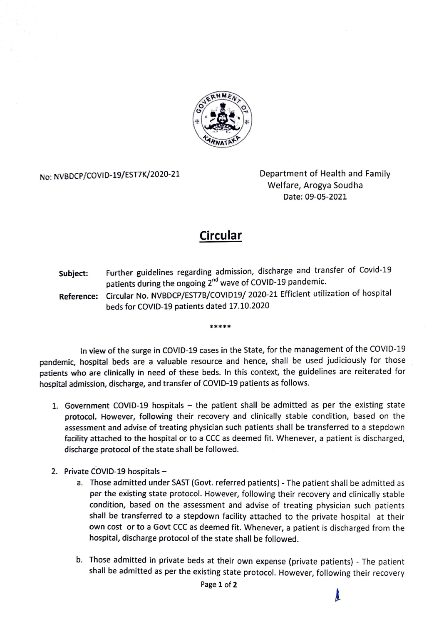

No: NVBDCP/COVID-19/EST7K/2020-21 Department of Health and Family Welfare, Arogya Soudha Date: 09-05-2021

Å.

## Circular

Subject: Further guidelines regarding admission, discharge and transfer of Covid-19 patients during the ongoing 2"d wave of COVID-19 pandemic. Reference: Circular No. NVBDCP/EST7B/CoVID19/ 2020-21 Efficient utilization of hospital beds for COvID-19 patients dated 17.10.2020

In view of the surge in CoVID-19 cases in the State, for the management of the COVID-19 pandemic, hospital beds are a valuable resource and hence, shall be used judiciously for those patients who are clinically in need of these beds. In this context, the guidelines are reiterated for hospital admission, discharge, and transfer of COVID-19 patients as follows.

\*\*\*\*\*

- 1. Government COVID-19 hospitals  $-$  the patient shall be admitted as per the existing state protocol. However, following their recovery and clinically stable condition, based on the assessment and advise of treating physician such patients shall be transferred to a stepdown facility attached to the hospital or to a CCC as deemed fit. Whenever, a patient is discharged, discharge protocol of the state shall be followed.
- 2. Private COVID-19 hospitals
	- a. Those admitted under SAST (Govt. referred patients) The patient shall be admitted as per the existing state protocol. However, following their recovery and clinically stable condition, based on the assessment and advise of treating physician such patients shall be transferred to a stepdown facility attached to the private hospital at their own cost or to a Govt CCC as deemed fit. Whenever, a patient is discharged from the hospital, discharge protocol of the state shall be followed.
	- b. Those admitted in private beds at their own expense (private patients) The patient shall be admitted as per the existing state protocol. However, following their recovery